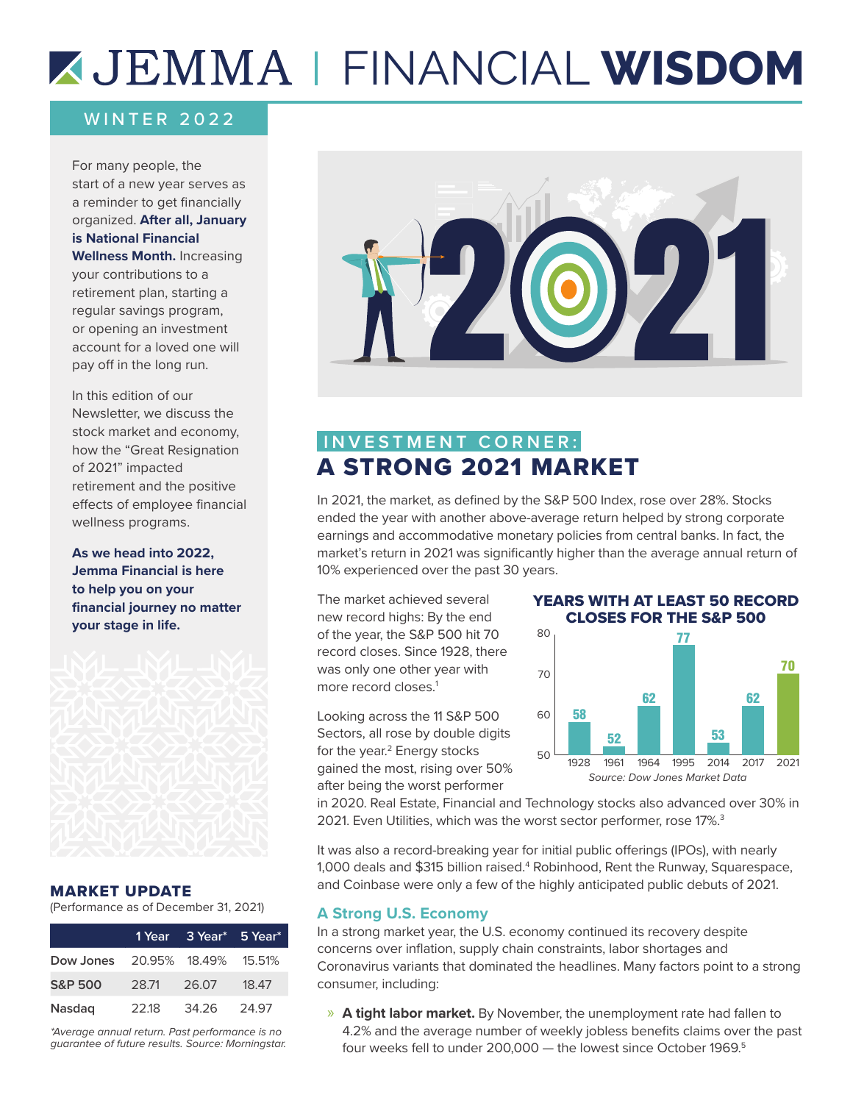# FINANCIAL **WISDOM**

### WINTER 2022

For many people, the start of a new year serves as a reminder to get financially organized. **After all, January is National Financial Wellness Month.** Increasing your contributions to a retirement plan, starting a regular savings program, or opening an investment account for a loved one will pay off in the long run.

In this edition of our Newsletter, we discuss the stock market and economy, how the "Great Resignation of 2021" impacted retirement and the positive effects of employee financial wellness programs.

**As we head into 2022, Jemma Financial is here to help you on your financial journey no matter your stage in life.** 



### MARKET UPDATE

(Performance as of December 31, 2021)

|                                |       | 1 Year 3 Year* 5 Year* |       |
|--------------------------------|-------|------------------------|-------|
| Dow Jones 20.95% 18.49% 15.51% |       |                        |       |
| <b>S&amp;P 500</b>             | 28.71 | 26.07                  | 18.47 |
| <b>Nasdag</b>                  | 22.18 | 34.26                  | 24.97 |

*\*Average annual return. Past performance is no guarantee of future results. Source: Morningstar.*



# **INVESTMENT CORNER:** A STRONG 2021 MARKET

In 2021, the market, as defined by the S&P 500 Index, rose over 28%. Stocks ended the year with another above-average return helped by strong corporate earnings and accommodative monetary policies from central banks. In fact, the market's return in 2021 was significantly higher than the average annual return of 10% experienced over the past 30 years.

The market achieved several new record highs: By the end of the year, the S&P 500 hit 70 record closes. Since 1928, there was only one other year with more record closes.<sup>1</sup>

Looking across the 11 S&P 500 Sectors, all rose by double digits for the year.<sup>2</sup> Energy stocks gained the most, rising over 50% after being the worst performer

#### YEARS WITH AT LEAST 50 RECORD CLOSES FOR THE S&P 500



in 2020. Real Estate, Financial and Technology stocks also advanced over 30% in 2021. Even Utilities, which was the worst sector performer, rose 17%.<sup>3</sup>

It was also a record-breaking year for initial public offerings (IPOs), with nearly 1,000 deals and \$315 billion raised.<sup>4</sup> Robinhood, Rent the Runway, Squarespace, and Coinbase were only a few of the highly anticipated public debuts of 2021.

### **A Strong U.S. Economy**

In a strong market year, the U.S. economy continued its recovery despite concerns over inflation, supply chain constraints, labor shortages and Coronavirus variants that dominated the headlines. Many factors point to a strong consumer, including:

» **A tight labor market.** By November, the unemployment rate had fallen to 4.2% and the average number of weekly jobless benefits claims over the past four weeks fell to under 200,000 - the lowest since October 1969.<sup>5</sup>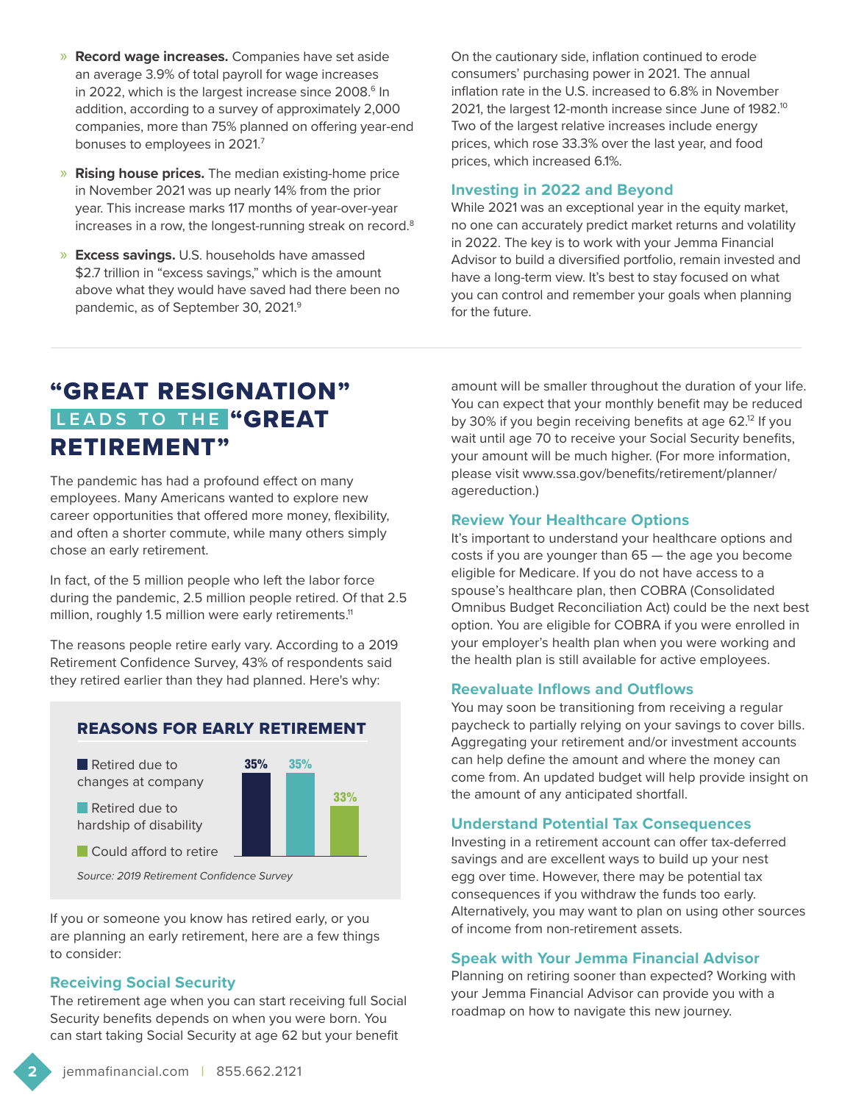- » **Record wage increases.** Companies have set aside an average 3.9% of total payroll for wage increases in 2022, which is the largest increase since 2008.<sup>6</sup> In addition, according to a survey of approximately 2,000 companies, more than 75% planned on offering year-end bonuses to employees in 2021.7
- » **Rising house prices.** The median existing-home price in November 2021 was up nearly 14% from the prior year. This increase marks 117 months of year-over-year increases in a row, the longest-running streak on record.8
- » **Excess savings.** U.S. households have amassed \$2.7 trillion in "excess savings," which is the amount above what they would have saved had there been no pandemic, as of September 30, 2021.<sup>9</sup>

On the cautionary side, inflation continued to erode consumers' purchasing power in 2021. The annual inflation rate in the U.S. increased to 6.8% in November 2021, the largest 12-month increase since June of 1982.<sup>10</sup> Two of the largest relative increases include energy prices, which rose 33.3% over the last year, and food prices, which increased 6.1%.

### **Investing in 2022 and Beyond**

While 2021 was an exceptional year in the equity market, no one can accurately predict market returns and volatility in 2022. The key is to work with your Jemma Financial Advisor to build a diversified portfolio, remain invested and have a long-term view. It's best to stay focused on what you can control and remember your goals when planning for the future.

# "GREAT RESIGNATION" **LEADS TO THE "GREAT** RETIREMENT"

The pandemic has had a profound effect on many employees. Many Americans wanted to explore new career opportunities that offered more money, flexibility, and often a shorter commute, while many others simply chose an early retirement.

In fact, of the 5 million people who left the labor force during the pandemic, 2.5 million people retired. Of that 2.5 million, roughly 1.5 million were early retirements.<sup>11</sup>

The reasons people retire early vary. According to a 2019 Retirement Confidence Survey, 43% of respondents said they retired earlier than they had planned. Here's why:



### REASONS FOR EARLY RETIREMENT

*Source: 2019 Retirement Confidence Survey*

If you or someone you know has retired early, or you are planning an early retirement, here are a few things to consider:

### **Receiving Social Security**

Could afford to retire

The retirement age when you can start receiving full Social Security benefits depends on when you were born. You can start taking Social Security at age 62 but your benefit

amount will be smaller throughout the duration of your life. You can expect that your monthly benefit may be reduced by 30% if you begin receiving benefits at age 62.<sup>12</sup> If you wait until age 70 to receive your Social Security benefits, your amount will be much higher. (For more information, please visit www.ssa.gov/benefits/retirement/planner/ agereduction.)

#### **Review Your Healthcare Options**

It's important to understand your healthcare options and costs if you are younger than 65 — the age you become eligible for Medicare. If you do not have access to a spouse's healthcare plan, then COBRA (Consolidated Omnibus Budget Reconciliation Act) could be the next best option. You are eligible for COBRA if you were enrolled in your employer's health plan when you were working and the health plan is still available for active employees.

### **Reevaluate Inflows and Outflows**

You may soon be transitioning from receiving a regular paycheck to partially relying on your savings to cover bills. Aggregating your retirement and/or investment accounts can help define the amount and where the money can come from. An updated budget will help provide insight on the amount of any anticipated shortfall.

#### **Understand Potential Tax Consequences**

Investing in a retirement account can offer tax-deferred savings and are excellent ways to build up your nest egg over time. However, there may be potential tax consequences if you withdraw the funds too early. Alternatively, you may want to plan on using other sources of income from non-retirement assets.

### **Speak with Your Jemma Financial Advisor**

Planning on retiring sooner than expected? Working with your Jemma Financial Advisor can provide you with a roadmap on how to navigate this new journey.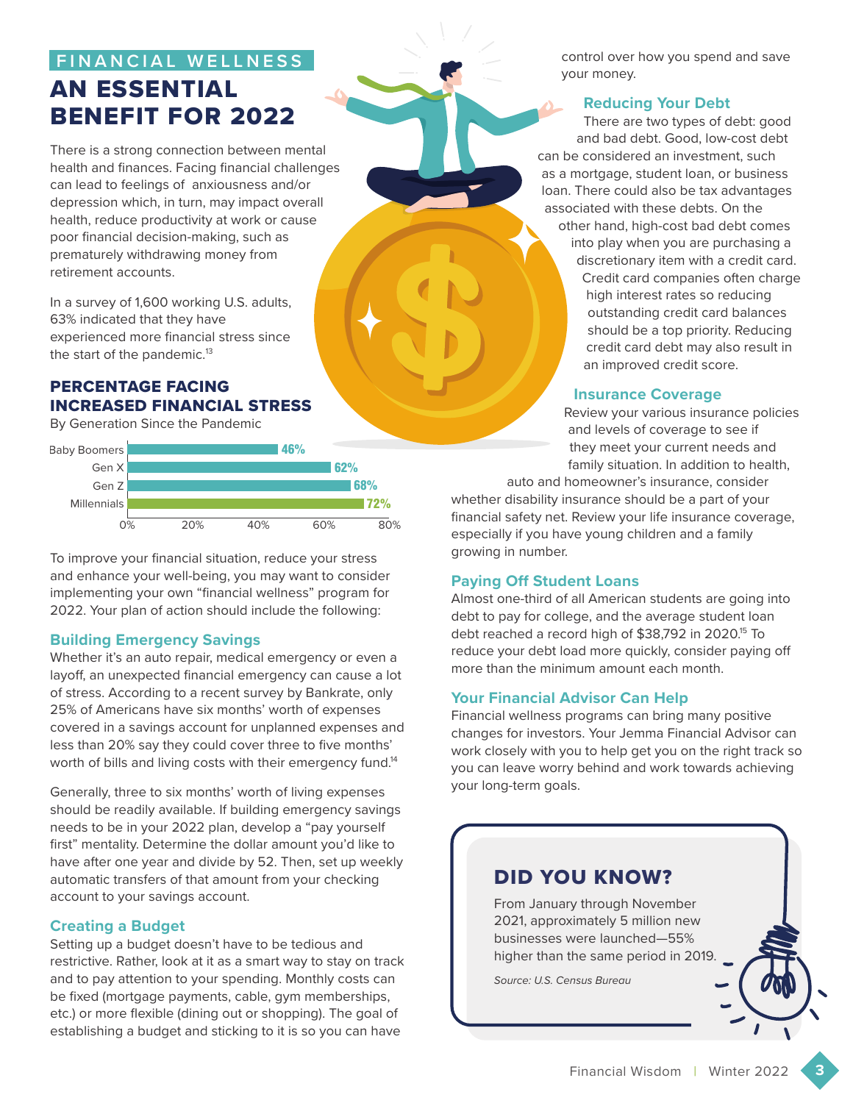# **FINANCIAL WELLNESS** AN ESSENTIAL BENEFIT FOR 2022

There is a strong connection between mental health and finances. Facing financial challenges can lead to feelings of anxiousness and/or depression which, in turn, may impact overall health, reduce productivity at work or cause poor financial decision-making, such as prematurely withdrawing money from retirement accounts.

In a survey of 1,600 working U.S. adults, 63% indicated that they have experienced more financial stress since the start of the pandemic.<sup>13</sup>

### PERCENTAGE FACING INCREASED FINANCIAL STRESS

By Generation Since the Pandemic



To improve your financial situation, reduce your stress and enhance your well-being, you may want to consider implementing your own "financial wellness" program for 2022. Your plan of action should include the following:

### **Building Emergency Savings**

Whether it's an auto repair, medical emergency or even a layoff, an unexpected financial emergency can cause a lot of stress. According to a recent survey by Bankrate, only 25% of Americans have six months' worth of expenses covered in a savings account for unplanned expenses and less than 20% say they could cover three to five months' worth of bills and living costs with their emergency fund.<sup>14</sup>

Generally, three to six months' worth of living expenses should be readily available. If building emergency savings needs to be in your 2022 plan, develop a "pay yourself first" mentality. Determine the dollar amount you'd like to have after one year and divide by 52. Then, set up weekly automatic transfers of that amount from your checking account to your savings account.

### **Creating a Budget**

Setting up a budget doesn't have to be tedious and restrictive. Rather, look at it as a smart way to stay on track and to pay attention to your spending. Monthly costs can be fixed (mortgage payments, cable, gym memberships, etc.) or more flexible (dining out or shopping). The goal of establishing a budget and sticking to it is so you can have

control over how you spend and save your money.

### **Reducing Your Debt**

There are two types of debt: good and bad debt. Good, low-cost debt can be considered an investment, such as a mortgage, student loan, or business loan. There could also be tax advantages associated with these debts. On the other hand, high-cost bad debt comes into play when you are purchasing a discretionary item with a credit card. Credit card companies often charge high interest rates so reducing outstanding credit card balances should be a top priority. Reducing credit card debt may also result in an improved credit score.

### **Insurance Coverage**

Review your various insurance policies and levels of coverage to see if they meet your current needs and family situation. In addition to health,

auto and homeowner's insurance, consider whether disability insurance should be a part of your financial safety net. Review your life insurance coverage, especially if you have young children and a family growing in number.

### **Paying Off Student Loans**

Almost one-third of all American students are going into debt to pay for college, and the average student loan debt reached a record high of \$38,792 in 2020.15 To reduce your debt load more quickly, consider paying off more than the minimum amount each month.

### **Your Financial Advisor Can Help**

Financial wellness programs can bring many positive changes for investors. Your Jemma Financial Advisor can work closely with you to help get you on the right track so you can leave worry behind and work towards achieving your long-term goals.

## DID YOU KNOW?

From January through November 2021, approximately 5 million new businesses were launched—55% higher than the same period in 2019.

*Source: U.S. Census Bureau*